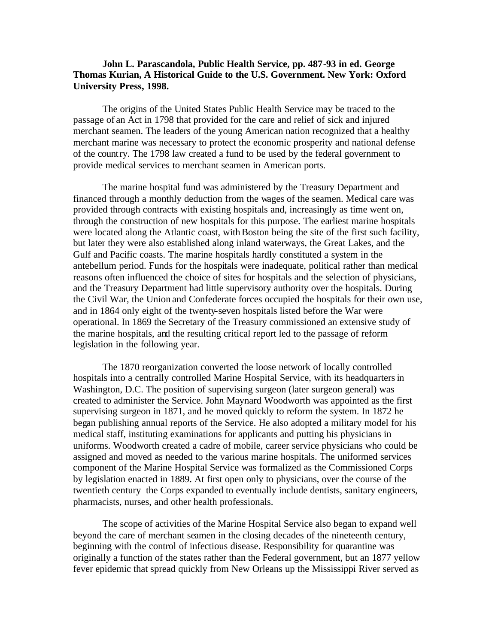## **John L. Parascandola, Public Health Service, pp. 487-93 in ed. George Thomas Kurian, A Historical Guide to the U.S. Government. New York: Oxford University Press, 1998.**

The origins of the United States Public Health Service may be traced to the passage of an Act in 1798 that provided for the care and relief of sick and injured merchant seamen. The leaders of the young American nation recognized that a healthy merchant marine was necessary to protect the economic prosperity and national defense of the country. The 1798 law created a fund to be used by the federal government to provide medical services to merchant seamen in American ports.

The marine hospital fund was administered by the Treasury Department and financed through a monthly deduction from the wages of the seamen. Medical care was provided through contracts with existing hospitals and, increasingly as time went on, through the construction of new hospitals for this purpose. The earliest marine hospitals were located along the Atlantic coast, with Boston being the site of the first such facility, but later they were also established along inland waterways, the Great Lakes, and the Gulf and Pacific coasts. The marine hospitals hardly constituted a system in the antebellum period. Funds for the hospitals were inadequate, political rather than medical reasons often influenced the choice of sites for hospitals and the selection of physicians, and the Treasury Department had little supervisory authority over the hospitals. During the Civil War, the Union and Confederate forces occupied the hospitals for their own use, and in 1864 only eight of the twenty-seven hospitals listed before the War were operational. In 1869 the Secretary of the Treasury commissioned an extensive study of the marine hospitals, and the resulting critical report led to the passage of reform legislation in the following year.

The 1870 reorganization converted the loose network of locally controlled hospitals into a centrally controlled Marine Hospital Service, with its headquarters in Washington, D.C. The position of supervising surgeon (later surgeon general) was created to administer the Service. John Maynard Woodworth was appointed as the first supervising surgeon in 1871, and he moved quickly to reform the system. In 1872 he began publishing annual reports of the Service. He also adopted a military model for his medical staff, instituting examinations for applicants and putting his physicians in uniforms. Woodworth created a cadre of mobile, career service physicians who could be assigned and moved as needed to the various marine hospitals. The uniformed services component of the Marine Hospital Service was formalized as the Commissioned Corps by legislation enacted in 1889. At first open only to physicians, over the course of the twentieth century the Corps expanded to eventually include dentists, sanitary engineers, pharmacists, nurses, and other health professionals.

The scope of activities of the Marine Hospital Service also began to expand well beyond the care of merchant seamen in the closing decades of the nineteenth century, beginning with the control of infectious disease. Responsibility for quarantine was originally a function of the states rather than the Federal government, but an 1877 yellow fever epidemic that spread quickly from New Orleans up the Mississippi River served as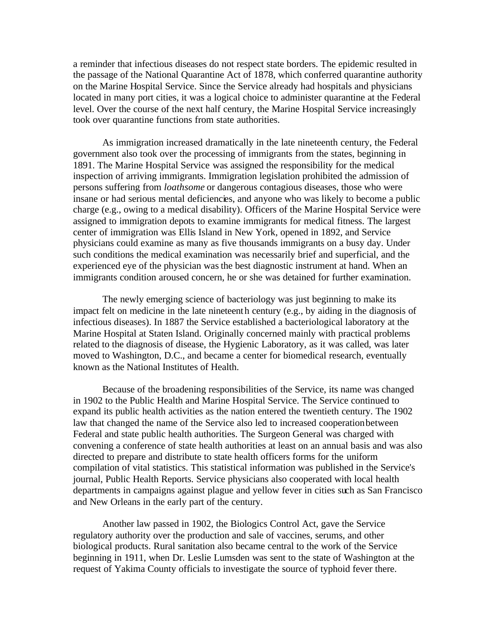a reminder that infectious diseases do not respect state borders. The epidemic resulted in the passage of the National Quarantine Act of 1878, which conferred quarantine authority on the Marine Hospital Service. Since the Service already had hospitals and physicians located in many port cities, it was a logical choice to administer quarantine at the Federal level. Over the course of the next half century, the Marine Hospital Service increasingly took over quarantine functions from state authorities.

As immigration increased dramatically in the late nineteenth century, the Federal government also took over the processing of immigrants from the states, beginning in 1891. The Marine Hospital Service was assigned the responsibility for the medical inspection of arriving immigrants. Immigration legislation prohibited the admission of persons suffering from *loathsome* or dangerous contagious diseases, those who were insane or had serious mental deficiencies, and anyone who was likely to become a public charge (e.g., owing to a medical disability). Officers of the Marine Hospital Service were assigned to immigration depots to examine immigrants for medical fitness. The largest center of immigration was Ellis Island in New York, opened in 1892, and Service physicians could examine as many as five thousands immigrants on a busy day. Under such conditions the medical examination was necessarily brief and superficial, and the experienced eye of the physician was the best diagnostic instrument at hand. When an immigrants condition aroused concern, he or she was detained for further examination.

The newly emerging science of bacteriology was just beginning to make its impact felt on medicine in the late nineteenth century (e.g., by aiding in the diagnosis of infectious diseases). In 1887 the Service established a bacteriological laboratory at the Marine Hospital at Staten Island. Originally concerned mainly with practical problems related to the diagnosis of disease, the Hygienic Laboratory, as it was called, was later moved to Washington, D.C., and became a center for biomedical research, eventually known as the National Institutes of Health.

Because of the broadening responsibilities of the Service, its name was changed in 1902 to the Public Health and Marine Hospital Service. The Service continued to expand its public health activities as the nation entered the twentieth century. The 1902 law that changed the name of the Service also led to increased cooperation between Federal and state public health authorities. The Surgeon General was charged with convening a conference of state health authorities at least on an annual basis and was also directed to prepare and distribute to state health officers forms for the uniform compilation of vital statistics. This statistical information was published in the Service's journal, Public Health Reports. Service physicians also cooperated with local health departments in campaigns against plague and yellow fever in cities such as San Francisco and New Orleans in the early part of the century.

Another law passed in 1902, the Biologics Control Act, gave the Service regulatory authority over the production and sale of vaccines, serums, and other biological products. Rural sanitation also became central to the work of the Service beginning in 1911, when Dr. Leslie Lumsden was sent to the state of Washington at the request of Yakima County officials to investigate the source of typhoid fever there.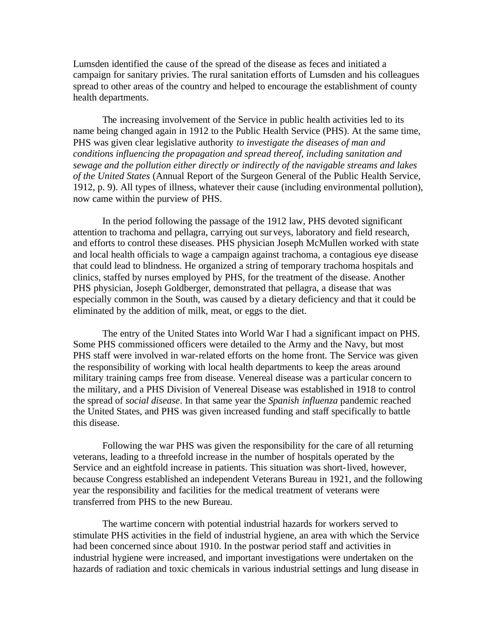Lumsden identified the cause of the spread of the disease as feces and initiated a campaign for sanitary privies. The rural sanitation efforts of Lumsden and his colleagues spread to other areas of the country and helped to encourage the establishment of county health departments.

The increasing involvement of the Service in public health activities led to its name being changed again in 1912 to the Public Health Service (PHS). At the same time, PHS was given clear legislative authority *to investigate the diseases of man and conditions influencing the propagation and spread thereof, including sanitation and sewage and the pollution either directly or indirectly of the navigable streams and lakes of the United States* (Annual Report of the Surgeon General of the Public Health Service, 1912, p. 9). All types of illness, whatever their cause (including environmental pollution), now came within the purview of PHS.

In the period following the passage of the 1912 law, PHS devoted significant attention to trachoma and pellagra, carrying out surveys, laboratory and field research, and efforts to control these diseases. PHS physician Joseph McMullen worked with state and local health officials to wage a campaign against trachoma, a contagious eye disease that could lead to blindness. He organized a string of temporary trachoma hospitals and clinics, staffed by nurses employed by PHS, for the treatment of the disease. Another PHS physician, Joseph Goldberger, demonstrated that pellagra, a disease that was especially common in the South, was caused by a dietary deficiency and that it could be eliminated by the addition of milk, meat, or eggs to the diet.

The entry of the United States into World War I had a significant impact on PHS. Some PHS commissioned officers were detailed to the Army and the Navy, but most PHS staff were involved in war-related efforts on the home front. The Service was given the responsibility of working with local health departments to keep the areas around military training camps free from disease. Venereal disease was a particular concern to the military, and a PHS Division of Venereal Disease was established in 1918 to control the spread of *social disease*. In that same year the *Spanish influenza* pandemic reached the United States, and PHS was given increased funding and staff specifically to battle this disease.

Following the war PHS was given the responsibility for the care of all returning veterans, leading to a threefold increase in the number of hospitals operated by the Service and an eightfold increase in patients. This situation was short-lived, however, because Congress established an independent Veterans Bureau in 1921, and the following year the responsibility and facilities for the medical treatment of veterans were transferred from PHS to the new Bureau.

The wartime concern with potential industrial hazards for workers served to stimulate PHS activities in the field of industrial hygiene, an area with which the Service had been concerned since about 1910. In the postwar period staff and activities in industrial hygiene were increased, and important investigations were undertaken on the hazards of radiation and toxic chemicals in various industrial settings and lung disease in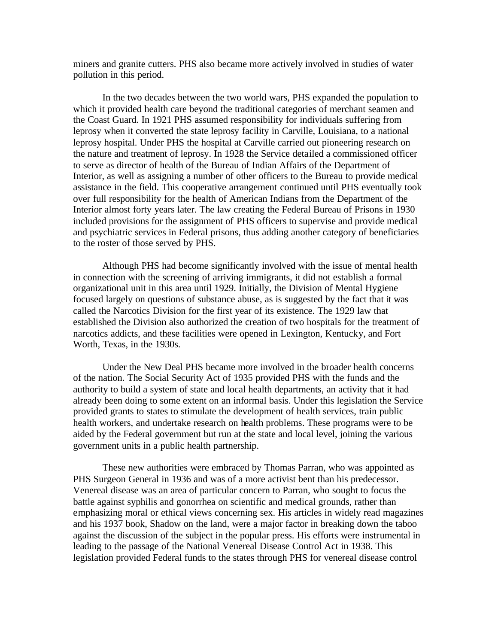miners and granite cutters. PHS also became more actively involved in studies of water pollution in this period.

In the two decades between the two world wars, PHS expanded the population to which it provided health care beyond the traditional categories of merchant seamen and the Coast Guard. In 1921 PHS assumed responsibility for individuals suffering from leprosy when it converted the state leprosy facility in Carville, Louisiana, to a national leprosy hospital. Under PHS the hospital at Carville carried out pioneering research on the nature and treatment of leprosy. In 1928 the Service detailed a commissioned officer to serve as director of health of the Bureau of Indian Affairs of the Department of Interior, as well as assigning a number of other officers to the Bureau to provide medical assistance in the field. This cooperative arrangement continued until PHS eventually took over full responsibility for the health of American Indians from the Department of the Interior almost forty years later. The law creating the Federal Bureau of Prisons in 1930 included provisions for the assignment of PHS officers to supervise and provide medical and psychiatric services in Federal prisons, thus adding another category of beneficiaries to the roster of those served by PHS.

Although PHS had become significantly involved with the issue of mental health in connection with the screening of arriving immigrants, it did not establish a formal organizational unit in this area until 1929. Initially, the Division of Mental Hygiene focused largely on questions of substance abuse, as is suggested by the fact that it was called the Narcotics Division for the first year of its existence. The 1929 law that established the Division also authorized the creation of two hospitals for the treatment of narcotics addicts, and these facilities were opened in Lexington, Kentucky, and Fort Worth, Texas, in the 1930s.

Under the New Deal PHS became more involved in the broader health concerns of the nation. The Social Security Act of 1935 provided PHS with the funds and the authority to build a system of state and local health departments, an activity that it had already been doing to some extent on an informal basis. Under this legislation the Service provided grants to states to stimulate the development of health services, train public health workers, and undertake research on health problems. These programs were to be aided by the Federal government but run at the state and local level, joining the various government units in a public health partnership.

These new authorities were embraced by Thomas Parran, who was appointed as PHS Surgeon General in 1936 and was of a more activist bent than his predecessor. Venereal disease was an area of particular concern to Parran, who sought to focus the battle against syphilis and gonorrhea on scientific and medical grounds, rather than emphasizing moral or ethical views concerning sex. His articles in widely read magazines and his 1937 book, Shadow on the land, were a major factor in breaking down the taboo against the discussion of the subject in the popular press. His efforts were instrumental in leading to the passage of the National Venereal Disease Control Act in 1938. This legislation provided Federal funds to the states through PHS for venereal disease control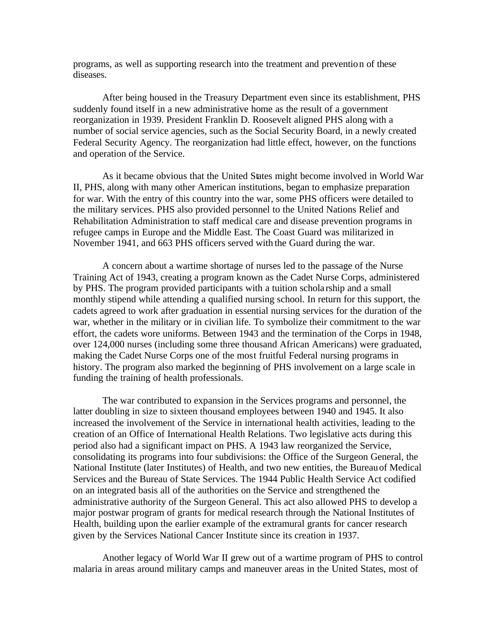programs, as well as supporting research into the treatment and prevention of these diseases.

After being housed in the Treasury Department even since its establishment, PHS suddenly found itself in a new administrative home as the result of a government reorganization in 1939. President Franklin D. Roosevelt aligned PHS along with a number of social service agencies, such as the Social Security Board, in a newly created Federal Security Agency. The reorganization had little effect, however, on the functions and operation of the Service.

As it became obvious that the United States might become involved in World War II, PHS, along with many other American institutions, began to emphasize preparation for war. With the entry of this country into the war, some PHS officers were detailed to the military services. PHS also provided personnel to the United Nations Relief and Rehabilitation Administration to staff medical care and disease prevention programs in refugee camps in Europe and the Middle East. The Coast Guard was militarized in November 1941, and 663 PHS officers served with the Guard during the war.

A concern about a wartime shortage of nurses led to the passage of the Nurse Training Act of 1943, creating a program known as the Cadet Nurse Corps, administered by PHS. The program provided participants with a tuition schola rship and a small monthly stipend while attending a qualified nursing school. In return for this support, the cadets agreed to work after graduation in essential nursing services for the duration of the war, whether in the military or in civilian life. To symbolize their commitment to the war effort, the cadets wore uniforms. Between 1943 and the termination of the Corps in 1948, over 124,000 nurses (including some three thousand African Americans) were graduated, making the Cadet Nurse Corps one of the most fruitful Federal nursing programs in history. The program also marked the beginning of PHS involvement on a large scale in funding the training of health professionals.

The war contributed to expansion in the Services programs and personnel, the latter doubling in size to sixteen thousand employees between 1940 and 1945. It also increased the involvement of the Service in international health activities, leading to the creation of an Office of International Health Relations. Two legislative acts during this period also had a significant impact on PHS. A 1943 law reorganized the Service, consolidating its programs into four subdivisions: the Office of the Surgeon General, the National Institute (later Institutes) of Health, and two new entities, the Bureau of Medical Services and the Bureau of State Services. The 1944 Public Health Service Act codified on an integrated basis all of the authorities on the Service and strengthened the administrative authority of the Surgeon General. This act also allowed PHS to develop a major postwar program of grants for medical research through the National Institutes of Health, building upon the earlier example of the extramural grants for cancer research given by the Services National Cancer Institute since its creation in 1937.

Another legacy of World War II grew out of a wartime program of PHS to control malaria in areas around military camps and maneuver areas in the United States, most of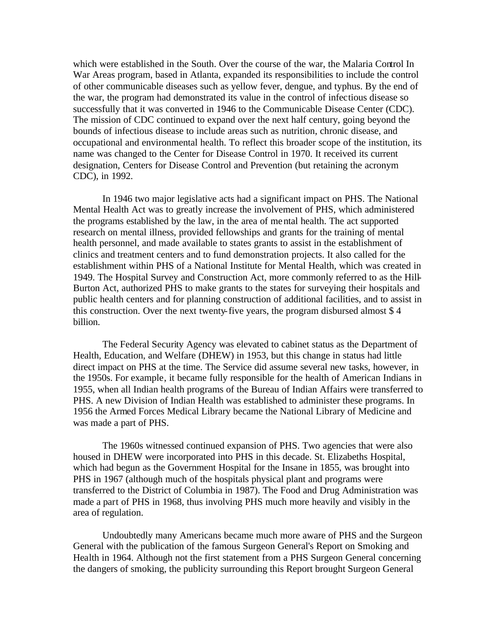which were established in the South. Over the course of the war, the Malaria Control In War Areas program, based in Atlanta, expanded its responsibilities to include the control of other communicable diseases such as yellow fever, dengue, and typhus. By the end of the war, the program had demonstrated its value in the control of infectious disease so successfully that it was converted in 1946 to the Communicable Disease Center (CDC). The mission of CDC continued to expand over the next half century, going beyond the bounds of infectious disease to include areas such as nutrition, chronic disease, and occupational and environmental health. To reflect this broader scope of the institution, its name was changed to the Center for Disease Control in 1970. It received its current designation, Centers for Disease Control and Prevention (but retaining the acronym CDC), in 1992.

In 1946 two major legislative acts had a significant impact on PHS. The National Mental Health Act was to greatly increase the involvement of PHS, which administered the programs established by the law, in the area of mental health. The act supported research on mental illness, provided fellowships and grants for the training of mental health personnel, and made available to states grants to assist in the establishment of clinics and treatment centers and to fund demonstration projects. It also called for the establishment within PHS of a National Institute for Mental Health, which was created in 1949. The Hospital Survey and Construction Act, more commonly referred to as the Hill-Burton Act, authorized PHS to make grants to the states for surveying their hospitals and public health centers and for planning construction of additional facilities, and to assist in this construction. Over the next twenty-five years, the program disbursed almost \$ 4 billion.

The Federal Security Agency was elevated to cabinet status as the Department of Health, Education, and Welfare (DHEW) in 1953, but this change in status had little direct impact on PHS at the time. The Service did assume several new tasks, however, in the 1950s. For example, it became fully responsible for the health of American Indians in 1955, when all Indian health programs of the Bureau of Indian Affairs were transferred to PHS. A new Division of Indian Health was established to administer these programs. In 1956 the Armed Forces Medical Library became the National Library of Medicine and was made a part of PHS.

The 1960s witnessed continued expansion of PHS. Two agencies that were also housed in DHEW were incorporated into PHS in this decade. St. Elizabeths Hospital, which had begun as the Government Hospital for the Insane in 1855, was brought into PHS in 1967 (although much of the hospitals physical plant and programs were transferred to the District of Columbia in 1987). The Food and Drug Administration was made a part of PHS in 1968, thus involving PHS much more heavily and visibly in the area of regulation.

Undoubtedly many Americans became much more aware of PHS and the Surgeon General with the publication of the famous Surgeon General's Report on Smoking and Health in 1964. Although not the first statement from a PHS Surgeon General concerning the dangers of smoking, the publicity surrounding this Report brought Surgeon General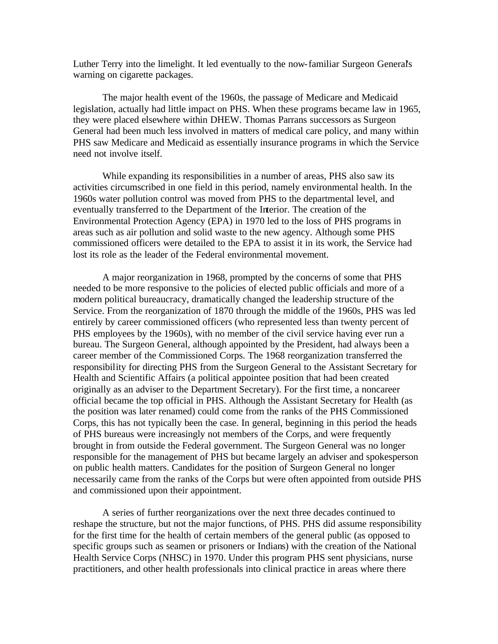Luther Terry into the limelight. It led eventually to the now-familiar Surgeon General's warning on cigarette packages.

The major health event of the 1960s, the passage of Medicare and Medicaid legislation, actually had little impact on PHS. When these programs became law in 1965, they were placed elsewhere within DHEW. Thomas Parrans successors as Surgeon General had been much less involved in matters of medical care policy, and many within PHS saw Medicare and Medicaid as essentially insurance programs in which the Service need not involve itself.

While expanding its responsibilities in a number of areas, PHS also saw its activities circumscribed in one field in this period, namely environmental health. In the 1960s water pollution control was moved from PHS to the departmental level, and eventually transferred to the Department of the Interior. The creation of the Environmental Protection Agency (EPA) in 1970 led to the loss of PHS programs in areas such as air pollution and solid waste to the new agency. Although some PHS commissioned officers were detailed to the EPA to assist it in its work, the Service had lost its role as the leader of the Federal environmental movement.

A major reorganization in 1968, prompted by the concerns of some that PHS needed to be more responsive to the policies of elected public officials and more of a modern political bureaucracy, dramatically changed the leadership structure of the Service. From the reorganization of 1870 through the middle of the 1960s, PHS was led entirely by career commissioned officers (who represented less than twenty percent of PHS employees by the 1960s), with no member of the civil service having ever run a bureau. The Surgeon General, although appointed by the President, had always been a career member of the Commissioned Corps. The 1968 reorganization transferred the responsibility for directing PHS from the Surgeon General to the Assistant Secretary for Health and Scientific Affairs (a political appointee position that had been created originally as an adviser to the Department Secretary). For the first time, a noncareer official became the top official in PHS. Although the Assistant Secretary for Health (as the position was later renamed) could come from the ranks of the PHS Commissioned Corps, this has not typically been the case. In general, beginning in this period the heads of PHS bureaus were increasingly not members of the Corps, and were frequently brought in from outside the Federal government. The Surgeon General was no longer responsible for the management of PHS but became largely an adviser and spokesperson on public health matters. Candidates for the position of Surgeon General no longer necessarily came from the ranks of the Corps but were often appointed from outside PHS and commissioned upon their appointment.

A series of further reorganizations over the next three decades continued to reshape the structure, but not the major functions, of PHS. PHS did assume responsibility for the first time for the health of certain members of the general public (as opposed to specific groups such as seamen or prisoners or Indians) with the creation of the National Health Service Corps (NHSC) in 1970. Under this program PHS sent physicians, nurse practitioners, and other health professionals into clinical practice in areas where there